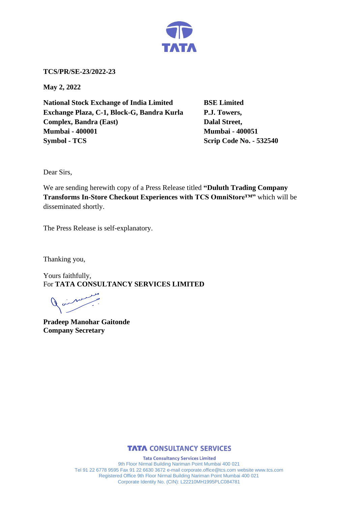

**TCS/PR/SE-23/2022-23**

**May 2, 2022**

**National Stock Exchange of India Limited BSE Limited Exchange Plaza, C-1, Block-G, Bandra Kurla P.J. Towers, Complex, Bandra (East)** Dalal Street, **Mumbai - 400001 Mumbai - 400051 Symbol - TCS Scrip Code No. - 532540** 

Dear Sirs,

We are sending herewith copy of a Press Release titled **"Duluth Trading Company Transforms In-Store Checkout Experiences with TCS OmniStore™"** which will be disseminated shortly.

The Press Release is self-explanatory.

Thanking you,

Yours faithfully, For **TATA CONSULTANCY SERVICES LIMITED**

 $\begin{array}{c} \nearrow \end{array}$ 

**Pradeep Manohar Gaitonde Company Secretary**



**Tata Consultancy Services Limited** 9th Floor Nirmal Building Nariman Point Mumbai 400 021 Tel 91 22 6778 9595 Fax 91 22 6630 3672 e-mail corporate.office@tcs.com website www.tcs.com Registered Office 9th Floor Nirmal Building Nariman Point Mumbai 400 021 Corporate Identity No. (CIN): L22210MH1995PLC084781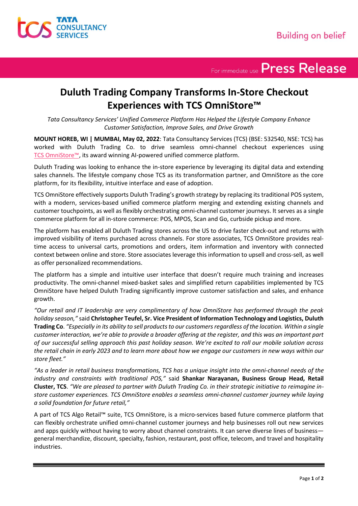

For immediate use Press Release

## **Duluth Trading Company Transforms In-Store Checkout Experiences with TCS OmniStore™**

*Tata Consultancy Services' Unified Commerce Platform Has Helped the Lifestyle Company Enhance Customer Satisfaction, Improve Sales, and Drive Growth* 

**MOUNT HOREB, WI | MUMBAI, May 02, 2022**: Tata Consultancy Services (TCS) (BSE: 532540, NSE: TCS) has worked with Duluth Trading Co. to drive seamless omni-channel checkout experiences using TCS [OmniStore™](http://www.tcs.com/industries/retail-consumer-products/retail/Retail-Products/pos/Pages/default.aspx), its award winning AI-powered unified commerce platform.

Duluth Trading was looking to enhance the in-store experience by leveraging its digital data and extending sales channels. The lifestyle company chose TCS as its transformation partner, and OmniStore as the core platform, for its flexibility, intuitive interface and ease of adoption.

TCS OmniStore effectively supports Duluth Trading's growth strategy by replacing its traditional POS system, with a modern, services-based unified commerce platform merging and extending existing channels and customer touchpoints, as well as flexibly orchestrating omni-channel customer journeys. It serves as a single commerce platform for all in-store commerce: POS, MPOS, Scan and Go, curbside pickup and more.

The platform has enabled all Duluth Trading stores across the US to drive faster check-out and returns with improved visibility of items purchased across channels. For store associates, TCS OmniStore provides realtime access to universal carts, promotions and orders, item information and inventory with connected context between online and store. Store associates leverage this information to upsell and cross-sell, as well as offer personalized recommendations.

The platform has a simple and intuitive user interface that doesn't require much training and increases productivity. The omni-channel mixed-basket sales and simplified return capabilities implemented by TCS OmniStore have helped Duluth Trading significantly improve customer satisfaction and sales, and enhance growth.

*"Our retail and IT leadership are very complimentary of how OmniStore has performed through the peak holiday season,"* said **Christopher Teufel, Sr. Vice President of Information Technology and Logistics, Duluth Trading Co**. *"Especially in its ability to sell products to our customers regardless of the location. Within a single customer interaction, we're able to provide a broader offering at the register, and this was an important part of our successful selling approach this past holiday season. We're excited to roll our mobile solution across the retail chain in early 2023 and to learn more about how we engage our customers in new ways within our store fleet."*

*"As a leader in retail business transformations, TCS has a unique insight into the omni-channel needs of the industry and constraints with traditional POS,"* said **Shankar Narayanan, Business Group Head, Retail Cluster, TCS**. *"We are pleased to partner with Duluth Trading Co. in their strategic initiative to reimagine instore customer experiences. TCS OmniStore enables a seamless omni-channel customer journey while laying a solid foundation for future retail,"*

A part of TCS Algo Retail™ suite, TCS OmniStore, is a micro-services based future commerce platform that can flexibly orchestrate unified omni-channel customer journeys and help businesses roll out new services and apps quickly without having to worry about channel constraints. It can serve diverse lines of business general merchandize, discount, specialty, fashion, restaurant, post office, telecom, and travel and hospitality industries.